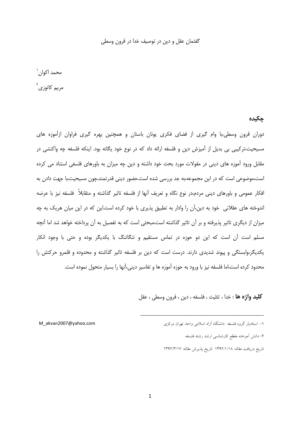### گفتمان عقل و دین در توصیف خدا در قرون وسطی

# محمد اکوا<sub>ن</sub>` مریم کاتوزی<sup>۲</sup>

جكيده

دوران قرون وسطی،با وام گیری از فضای فکری یونان باستان و همچنین بهره گیری فراوان ازآموزه های مسیحیت،ترکیبی بی بدیل از آمیزش دین و فلسفه ارائه داد که در نوع خود یگانه بود. اینکه فلسفه چه واکنشی در مقابل ورود آموزه های دینی در مقولات مورد بحث خود داشته و دین چه میزان به باورهای فلسفی استناد می کرده است،موضوعی است که در این مجموعه،به جد بررسی شده است.حضور دینی قدرتمند،چون مسیحیت،با جهت دادن به افکار عمومی و باورهای دینی مردم،در نوع نگاه و تعریف آنها از فلسفه تاثیر گذاشته و متقابلاً فلسفه نیز با عرضه اندوخته های عقلانی خود به دین،آن را وادار به تطبیق پذیری با خود کرده است.این که در این میان هریک به چه میزان از دیگری تاثیر پذیرفته و بر آن تاثیر گذاشته است،مبحثی است که به تفصیل به آن پرداخته خواهد شد اما آنچه مسلم است آن است که این دو حوزه در تماس مستقیم و تنگاتنگ با یکدیگر بوده و حتی با وجود انکار یکدیگر،وابستگی و پیوند شدیدی دارند. درست است که دین بر فلسفه تاثیر گذاشته و محدوده و قلمرو حرکتش را محدود کرده است،اما فلسفه نیز با ورود به حوزه آموزه ها و تفاسیر دینی،آنها را بسیار متحول نموده است.

**كليد واژه ها** : خدا ، تثليث ، فلسفه ، دين ، قرون وسطى ، عقل

٢- دانش أموخته مقطع كارشناسي ارشد رشته فلسفه

M akvan2007@vahoo.com

۱– استادبار گروه فلسفه ِ دانشگاه آزاد اسلامی واحد تهران مرکزی

تاريخ دريافت مقاله: ١٣٩٢/١/١٨ تاريخ پذيرش مقاله: ١٣٩٢/٣/١٧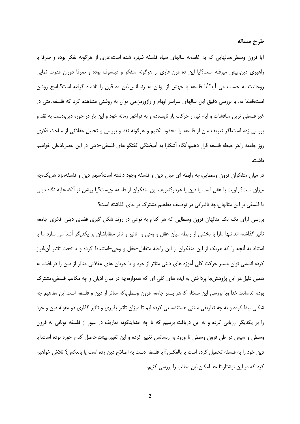ایا قرون وسطی،سالهایی که به غلط،به سالهای سیاه فلسفه شهره شده است،عاری از هرگونه تفکر بوده و صرفا با راهبری دین،پیش میرفته است؟آیا این ده قرن،عاری از هرگونه متفکر و فیلسوف بوده و صرفا دوران قدرت نمایی روحانیت به حساب می اَید؟اَیا فلسفه با جهش از یونان به رنسانس،این ده قرن را نادیده گرفته است؟پاسخ روشن است،قطعا نه. با بررسی دقیق این سالهای سراسر ابهام و رازورمز،می توان به روشنی مشاهده کرد که فلسفه،حتی در غیر فلسفی ترین مناقشات و ایام نیز،از حرکت باز نایستاده و به فراخور زمانه خود و این بار در حوزه دین،دست به نقد و بررسی زده است.اگر تعریف مان از فلسفه را محدود نکنیم و هرگونه نقد و بررسی و تحلیل عقلانی از مباحث فکری روز جامعه را،در حیطه فلسفه قرار دهیم،آنگاه آشکارا به آمیختگی گفتگو های فلسفی-دینی در این عصر،اذعان خواهیم داشت.

در میان متفکران قرون وسطایی،چه رابطه ای میان دین و فلسفه وجود داشته است؟سهم دین و فلسفه،نزد هریک،چه ميزان است؟اولويت با عقل است يا دين يا هردو؟تعريف اين متفكران از فلسفه چيست؟يا روشن تر آنكه،غلبه نگاه ديني یا فلسفی بر این متالهان،چه تاثیراتی در توصیف مفاهیم مشترک بر جای گذاشته است؟

بررسی آرای تک تک متالهان قرون وسطایی که هر کدام به نوعی در روند شکل گیری فضای دینی-فکری جامعه تاثیر گذاشته اند،تنها مارا با بخشی از رابطه میان عقل و وحی و تاثیر و تاثر متقابلشان بر یکدیگر آشنا می سازد.اما با استناد به أنچه را که هریک از این متفکران از این رابطه متقابل–عقل و وحی–استنباط کرده و یا تحت تاثیر آن،ابراز کرده اند،می توان مسیر حرکت کلی آموزه های دینی متاثر از خرد و یا جریان های عقلانی متاثر از دین را دریافت. به همین دلیل،در این پژوهش،با پرداختن به ایده های کلی ای که همواره،چه در میان ادیان و چه مکاتب فلسفی،مشترک بوده اند،مانند خدا وبا بررسی این مسئله که،در بستر جامعه قرون وسطی،که متاثر از دین و فلسفه است،این مفاهیم چه شکلی پیدا کرده و به چه تعاریفی مبتنی هستند،سعی کرده ایم تا میزان تاثیر پذیری و تاثیر گذاری دو مقوله دین و خرد را بر یکدیگر ارزیابی کرده و به این دریافت برسیم که تا چه حد،اینگونه تعاریف در عبور از فلسفه یونانی به قرون وسطی و سپس در طی قرون وسطی تا ورود به رنسانس تغییر کرده و این تغییر،بیشترحاصل کدام حوزه بوده است.آیا دين خود را به فلسفه تحميل كرده است يا بالعكس؟آيا فلسفه دست به اصلاح دين زده است يا بالعكس؟ تلاش خواهيم کرد که در این نوشتار،تا حد امکان،این مطلب را بررسی کنیم.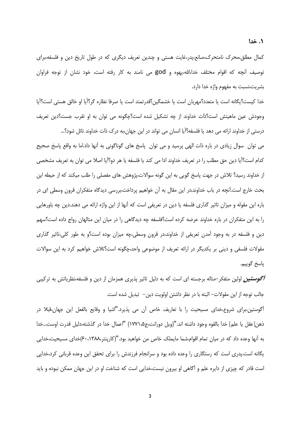کمال مطلق،محرک نامتحرک،صانع،پدر،غایت هستی و چندین تعریف دیگری که در طول تاریخ دین و فلسفه،برای توصیف اّنچه که اقوام مختلف خدا،الله،یهوه و god می نامند به کار رفته است، خود نشان از توجه فراوان بشريت،نسبت به مفهوم واژه خدا دارد.

خدا کیست؟یگانه است یا متعدد؟مهربان است یا خشمگین؟قدرتمند است یا صرفا نظاره گر؟اَیا او خالق هستی است؟اَیا وجودش عین ماهیتش است؟ذات خداوند از چه تشکیل شده است؟چگونه می توان به او تقرب جست؟دین تعریف درستی از خداوند ارائه می دهد یا فلسفه؟آیا انسان می تواند در این جهان،به درک ذات خداوند نائل شود؟…

می توان سوال زیادی در باره ذات الهی پرسید و می توان پاسخ های گوناگونی به آنها داد.اما به واقع پاسخ صحیح كدام است؟اَيا دين حق مطلب را در تعريف خداوند ادا مي كند يا فلسفه يا هر دو؟اَيا اصلا مي توان به تعريف مشخصي از خداوند رسید؟ تلاش در جهت پاسخ گویی به این گونه سوالات،پژوهش های مفصلی را طلب میکند که از حیطه این بحث خارج است.آنچه در باب خداوند،در این مقال به آن خواهیم پرداخت،بررسی دیدگاه متفکران قرون وسطی ای در باره این مقوله و میزان تاثیر گذاری فلسفه یا دین در تعریفی است که آنها از این واژه ارائه می دهند.دین چه باورهایی را به این متفکران در باره خداوند عرضه کرده است؟فلسفه چه دیدگاهی را در میان این متالهان رواج داده است؟سهم دین و فلسفه در به وجود آمدن تعریفی از خداوند،در قرون وسطی،چه میزان بوده است؟و به طور کلی،تاثیر گذاری مقولات فلسفی و دینی بر یکدیگر در ارائه تعریف از موضوعی واحد،چگونه است؟تلاش خواهیم کرد به این سوالات پاسخ گوييم.

*آگوستین* اولین متفکر–متاله برجسته ای است که به دلیل تاثیر پذیری همزمان از دین و فلسفه،نظریاتش به ترکیبی جالب توجه از این مقولات– البته با در نظر داشتن اولویت دین– تبدیل شده است.

اگوستین،برای شروع،خدای مسیحیت را با تعاریف خاص آن می پذیرد."اشیا و وقایع بالفعل این جهان،قبلا در ذهن[عقل يا علم] خدا بالقوه وجود داشته اند."(ويل دورانت،ج۵، ۱۷۷۱) "اعمال خدا در گذشته،دليل قدرت اوست...خدا به أنها وعده داد که در میان تمام اقوام،شما مایملک خاص من خواهید بود."(کارپنتر،۴۰،۱۳۸۸)خدای مسیحیت،خدایی یگانه است.پدری است که رستگاری را وعده داده بود و سرانجام فرزندش را برای تحقق این وعده قربانی کرد،خدایی است قادر که چیزی از دایره علم و آگاهی او بیرون نیست،خدایی است که شناخت او در این جهان ممکن نبوده و باید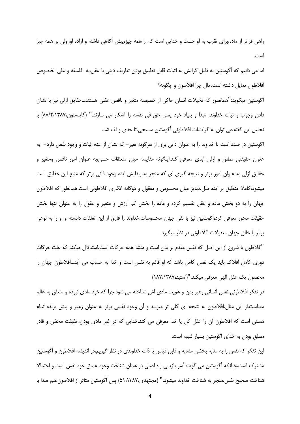راهی فراتر از ماده،برای تقرب به او جست و خدایی است که از همه چیز،پیش آگاهی داشته و اراده او،اولی بر همه چیز است.

اما می دانیم که اّگوستین به دلیل گرایش به اثبات قابل تطبیق بودن تعاریف دینی با عقل،به فلسفه و علی الخصوص افلاطون تمايل داشته است.حال چرا افلاطون و چگونه؟

أگوستین میگوید:"همانطور که تخیلات انسان حاکی از خصیصه متغیر و ناقص عقلی هستند…حقایق ازلی نیز با نشان دادن وجوب و ثبات خداوند، مبدا و بنیاد خود یعنی حق فی نفسه را اَشکار می سازند." (کاپلستون،۸۸/۲،۱۳۸۷) با تحلیل این گفته،می توان به گرایشات افلاطونی آگوستین مسیحی،تا حدی واقف شد.

أگوستین در صدد است تا خداوند را به عنوان ذاتی بری از هرگونه تغیر− که نشان از عدم ثبات و وجود نقص دارد− به عنوان حقیقتی مطلق و ازلی–ابدی معرفی کند.اینگونه مقایسه میان متعلقات حسی،به عنوان امور ناقص ومتغیر و حقایق ازلی به عنوان امور برتر و نتیجه گیری ای که منجر به پیدایش ایده وجود ذاتی برتر که منبع این حقایق است میشود،کاملا منطبق بر ایده مثل،تمایز میان محسوس و معقول و دوگانه انگاری افلاطونی است.همانطور که افلاطون جهان را به دو بخش ماده و عقل تقسیم کرده و ماده را بخش کم ارزش و متغیر و عقول را به عنوان تنها بخش حقیقت محور معرفی کرد،اُگوستین نیز با نفی جهان محسوسات،خداوند را فارق از این تعلقات دانسته و او را به نوعی برابر با خالق جهان معقولات افلاطونی در نظر میگیرد.

"افلاطون با شروع از این اصل که نفس مقدم بر بدن است و منشا همه حرکات است،استدلال میکند که علت حرکات دوری کامل افلاک باید یک نفس کامل باشد که او قائم به نفس است و خدا به حساب می آید...افلاطون جهان را محصول يك عقل الهي معرفي ميكند."(استيد،١٨٢،١٣٨٧)

در تفکر افلاطونی نفس انسانی،رهبر بدن و هویت مادی اش شناخته می شود،چرا که خود مادی نبوده و متعلق به عالم معناست.از این مثال،افلاطون به نتیجه ای کلی تر میرسد و آن وجود نفسی برتر به عنوان رهبر و پیش برنده تمام هستی است که افلاطون آن را عقل کل یا خدا معرفی می کند.خدایی که در غیر مادی بودن،حقیقت محض و قادر مطلق بودن به خدای اگوستین بسیار شبیه است.

این تفکر که نفس را به مثابه بخشی مشابه و قابل قیاس با ذات خداوندی در نظر گیریم،در اندیشه افلاطون و اگوستین مشترک است،چنانکه اَگوستین می گوید:"سر بازیابی راه اصلی در همان شناخت وجود عمیق خود نفس است و احتمالا شناخت صحيح نفس،منجر به شناخت خداوند ميشود." (مجتهدي،١،٣٨٧ه) پس أگوستين متاثر از افلاطون،هم صدا با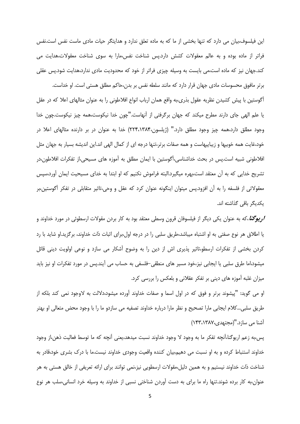این فیلسوف،بیان می دارد که تنها بخشی از ما که به ماده تعلق ندارد و هدایتگر حیات مادی ماست نفس است.نفس فراتر از ماده بوده و به عالم معقولات کشش دارد.پس شناخت نفس،مارا به سوی شناخت معقولات،هدایت می کند.جهان نیز که ماده است،می بایست به وسیله چیزی فراتر از خود که محدودیت مادی ندارد،هدایت شود.پس عقلی برتر مافوق محسوسات مادی جهان قرار دارد که مانند سلطه نفس بر بدن،حاکم مطلق هستی است. او خداست.

اًگوستین با پیش کشیدن نظریه عقول بذری،به واقع همان ارباب انواع افلاطونی را به عنوان مثالهای اعلا که در عقل یا علم الهی جای دارند مطرح میکند که جهان برگرفتی از آنهاست."چون خدا نیکوست،همه چیز نیکوست.چون خدا وجود مطلق دارد،همه چیز وجود مطلق دارد." (ژیلسون،۲۸۴،۱۳۸۴) خدا به عنوان در بر دارنده مثالهای اعلا در خود،غایت همه خوبیها و زیباییهاست و همه صفات برتر،تنها درجه ای از کمال الهی اند.این اندیشه بسیار به جهان مثل افلاطونی شبیه است.پس در بحث خداشناسی،اگوستین با ایمان مطلق به آموزه های مسیحی،از تفکرات افلاطون،در تشریح خدایی که به آن معتقد است،بهره میگیرد.البته فراموش نکنیم که او ابتدا به خدای مسیحیت ایمان آورد،سپس معقولاتی از فلسفه را به آن افزود.پس میتوان اینگونه عنوان کرد که عقل و وحی،تاثیر متقابلی در تفکر أگوستین،بر یکدیگر باقی گذاشته اند.

**/ریوگنا**،که به عنوان یکی دیگر از فیلسوفان قرون وسطی معتقد بود به کار بردن مقولات ارسطوئی در مورد خداوند و یا اطلاق هر نوع صفتی به او اشتباه میباشد،طریق سلبی را در درجه اول،برای اثبات ذات خداوند، برگزید.او شاید با رد کردن بخشی از تفکرات ارسطو،تاثیر پذیری اش از دین را به وضوح آشکار می سازد و نوعی اولویت دینی قائل میشود،اما طرق سلبی یا ایجابی نیز،خود مسیر های منطقی–فلسفی به حساب می آیند.پس در مورد تفکرات او نیز باید میزان غلبه اموزه های دینی بر تفکر عقلانی و بلعکس را بررسی کرد.

او می گوید: "پیشوند برتر و فوق که در اول اسما و صفات خداوند اَورده میشود،دلالت به لاوجود نمی کند بلکه از طریق سلبی…کلام ایجابی مارا تصحیح و نظر مارا درباره خداوند تصفیه می سازدو ما را با وجود محض متعالی او بهتر آشنا می سازد."(مجتهدی،۱۳۸۷،۱۴۳،۱۴۸۷)

پس،به زعم اریوگنا،انچه تفکر ما به وجود لا وجود خداوند نسبت میدهد،یعنی آنچه که ما توسط فعالیت ذهن،از وجود خداوند استنباط کرده و به او نسبت می دهیم،بیان کننده واقعیت وجودی خداوند نیست.ما با درک بشری خود،قادر به شناخت ذات خداوند نیستیم و به همین دلیل،مقولات ارسطویی نیز،نمی توانند برای ارائه تعریفی از خالق هستی به هر عنوان،به کار برده شوند.تنها راه ما برای به دست آوردن شناختی نسبی از خداوند به وسیله خرد انسانی،سلب هر نوع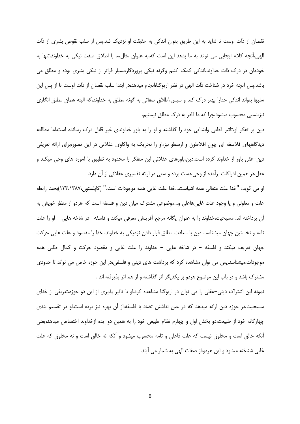نقصان از ذات اوست تا شاید به این طریق بتوان اندکی به حقیقت او نزدیک شد.پس از سلب نقوص بشری از ذات الهي،آنچه كلام ايجابي مي تواند به ما بدهد اين است كه،به عنوان مثال،ما با اطلاق صفت نيكي به خداوند،تنها به خودمان در درک ذات خداوند،اندکی کمک کنیم وگرنه نیکی پروردگار،بسیار فراتر از نیکی بشری بوده و مطلق می باشد.پس آنچه خرد در شناخت ذات الهی در نظر اریوگنا،انجام میدهد،در ابتدا سلب نقصان از ذات اوست تا از پس این سلبها بتواند اندکی خدارا بهتر درک کند و سپس،اطلاق صفاتی به گونه مطلق به خداوند،که البته همان مطلق انگاری نیز،نسبی محسوب میشود،چرا که ما قادر به درک مطلق نیستیم.

دین بر تفکر او،تاثیر قطعی وابتدایی خود را گذاشته و او را به باور خداوندی غیر قابل درک رسانده است.اما مطالعه دیدگاههای فلاسفه ای چون افلاطون و ارسطو نیز،او را تحریک به واکاوی عقلانی در این تصور،برای ارائه تعریفی دین–عقل باور از خداوند کرده است.دین،باورهای عقلانی این متفکر را محدود به تطبیق با آموزه های وحی میکند و عقل،در همین ادراکات برآمده از وحی،دست برده و سعی در ارائه تفسیری عقلانی از آن دارد.

او مي گويد: "خدا علت متعالى همه اشياست...خدا علت غايي همه موجودات است." (كاپلستون،١٢٣،١٣٨٧)بحث رابطه علت و معلولی و یا وجود علت غایی،فاعلی و…موضوعی مشترک میان دین و فلسفه است که هردو از منظر خویش به آن پرداخته اند. مسیحیت،خداوند را به عنوان یگانه مرجع آفرینش معرفی میکند و فلسفه– در شاخه هایی– او را علت تامه و نخستین جهان میشناسد. دین با سعادت مطلق قرار دادن نزدیکی به خداوند، خدا را مقصود و علت غایی حرکت جهان تعریف میکند و فلسفه – در شاخه هایی – خداوند را علت غایی و مقصود حرکت و کمال طلبی همه موجودات،میشناسد.پس می توان مشاهده کرد که برداشت های دینی و فلسفی،در این حوزه خاص می تواند تا حدودی مشترک باشد و در باب این موضوع هردو بر یکدیگر اثر گذاشته و از هم اثر پذیرفته اند .

نمونه این اشتراک دینی–عقلی را می توان در اریوگنا مشاهده کرد.او با تاثیر پذیری از این دو حوزه،تعریفی از خدای مسیحیت،در حوزه دین ارائه میدهد که در عین نداشتن تضاد با فلسفه،از آن بهره نیز برده است.او در تقسیم بندی چهارگانه خود از طبیعت،دو بخش اول و چهارم نظام طبیعی خود را به همین دو ایده ازخداوند اختصاص میدهد،یعنی آنکه خالق است و مخلوق نیست که علت فاعلی و تامه محسوب میشود و آنکه نه خالق است و نه مخلوق که علت غایی شناخته میشود و این هردو،از صفات الهی به شمار می آیند.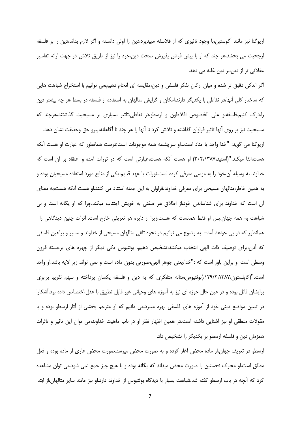اریوگنا نیز مانند آگوستین،با وجود تاثیری که از فلاسفه میپذیرد،دین را اولی دانسته و اگر لازم بداند،دین را بر فلسفه ارجحیت می بخشد.هر چند که او با پیش فرض پذیرش صحت دین،خرد را نیز از طریق تلاش در جهت ارائه تفاسیر عقلانی تر از دین،بر دین غلبه می دهد.

اگر اندکی دقیق تر شده و میان ارکان تفکر فلسفی و دین،مقایسه ای انجام دهیم،می توانیم با استخراج شباهت هایی که ساختار کلی آنها،در نقاطی با یکدیگر دارند،امکان و گرایش متالهان به استفاده از فلسفه در بسط هر چه بیشتر دین را،درک کنیم.فلسفه،و علی الخصوص افلاطون و ارسطو،در نقاطی،تاثیر بسیاری بر مسیحیت گذاشتند،هرچند که مسیحیت نیز بر روی آنها تاثیر فراوان گذاشته و تلاش کرد تا آنها را هر چند نا آگاهانه،پیرو حق وحقیقت نشان دهد. اريوگنا مي گويد: "خدا واحد يا مناد است...او سرچشمه همه موجودات است؛درست همانطور كه عبارت او هست آنكه هست،القا میکند."(استید،۲۰۲،۱۳۸۷) او هست اَنکه هست،عبارتی است که در تورات اَمده و اعتقاد بر اَن است که خداوند به وسیله آن،خود را به موسی معرفی کرده است.تورات یا عهد قدیم،یکی از منابع مورد استفاده مسیحیان بوده و به همین خاطر،متالهان مسیحی برای معرفی خداوند،فراوان به این جمله استناد می کنند.او هست آنکه هست،به معنای آن است که خداوند برای شناساندن خود،از اطلاق هر صفتی به خویش اجتناب میکند.چرا که او یگانه است و بی شباهت به همه جهان.پس او فقط همانست که هست،زیرا از دایره هر تعریفی خارج است. اثرات چنین دیدگاهی را– همانطور که در پی خواهد آمد– به وضوح می توانیم در نحوه تلقی متالهان مسیحی از خداوند و مسیر و براهین فلسفی که آنان،برای توصیف ذات الهی انتخاب میکنند،تشخیص دهیم. بوئثیوس یکی دیگر از چهره های برجسته قرون وسطى است او براين باور است كه :"خدا،يعنى جوهر الهي،صورتى بدون ماده است و نمى تواند زير لايه باشد.او واحد است."(کاپلستون،۱۲۹/۲،۱۳۸۷،)بوئتیوس،متاله–متفکری که به دین و فلسفه یکسان پرداخته و سهم تقریبا برابری برایشان قائل بوده و در عین حال حوزه ای نیز به آموزه های وحیانی غیر قابل تطبیق با عقل،اختصاص داده بود،آشکارا در تبیین مواضع دینی خود از اموزه های فلسفی بهره میبرد.می دانیم که او مترجم بخشی از اثار ارسطو بوده و با مقولات منطقی او نیز آشنایی داشته است.در همین اظهار نظر او در باب ماهیت خداوند،می توان این تاثیر و تاثرات همزمان دین و فلسفه ارسطو بر یکدیگر را تشخیص داد.

ارسطو در تعریف جهان،از ماده محض آغاز کرده و به صورت محض میرسد.صورت محض عاری از ماده بوده و فعل مطلق است.او محرک نخستین را صورت محض میداند که یگانه بوده و با هیچ چیز جمع نمی شود.می توان مشاهده کرد که آنچه در باب ارسطو گفته شد،شباهت بسیار با دیدگاه بوئتیوس از خداوند دارد.او نیز مانند سایر متالهان،از ابتدا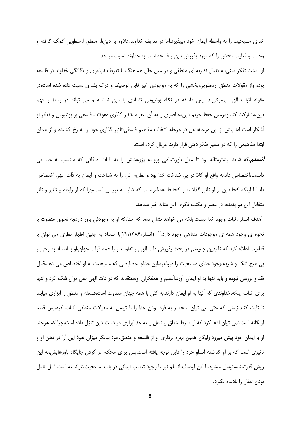خدای مسیحیت را به واسطه ایمان خود میپذیرد.اما در تعریف خداوند،علاوه بر دین،از منطق ارسطویی کمک گرفته و وحدت و فعلیت محض را که مورد پذیرش دین و فلسفه است به خداوند نسبت میدهد.

او سنت تفکر دینی،به دنبال نظریه ای منطقی و در عین حال هماهنگ با تعریف ناپذیری و یگانگی خداوند در فلسفه بوده واز مقولات منطق ارسطویی،بخشی را که به موجودی غیر قابل توصیف و درک بشری نسبت داده شده است،در مقوله اثبات الهی برمیگزیند. پس فلسفه در نگاه بوئتیوس تضادی با دین نداشته و می تواند در بسط و فهم دین،مشارکت کند ودرعین حفظ حریم دین،عناصری را به آن بیفزاید.تاثیر گذاری مقولات فلسفی بر بوئتیوس و تفکر او آشکار است اما پیش از این مرحله،دین در مرحله انتخاب مفاهیم فلسفی،تاثیر گذاری خود را به رخ کشیده و از همان ابتدا مفاهیمی را که در مسیر تفکر دینی قرار دارند غربال کرده است.

*آنسلم،*که شاید بیشترمتاله بود تا عقل باور،تمامی پروسه پژوهشش را به اثبات صفاتی که منتسب به خدا می دانست،اختصاص داد.به واقع او كلا در پي شناخت خدا بود و نظريه اش را به شناخت و ايمان به ذات الهي،اختصاص داد.اما اینکه کجا دین بر او تاثیر گذاشته و کجا فلسفه،امریست که شایسته بررسی است،چرا که از رابطه و تاثیر و تاثر متقابل این دو پدیده، در عصر و مکتب فکری این متاله خبر میدهد.

"هدف آنسلم،اثبات وجود خدا نیست،بلکه می خواهد نشان دهد که خدا،که او به وجودش باور دارد،به نحوی متفاوت با نحوه ی وجود همه ی موجودات متناهی وجود دارد." (آنسلم،۲۲،۱۳۸۶)با استناد به چنین اظهار نظری می توان با قطعیت اعلام کرد که تا بدین جا،یعنی در بحث پذیرش ذات الهی و تفاوت او با همه ذوات جهان،او با استناد به وحی و بی هیچ شک و شبهه،وجود خدای مسیحیت را میپذیرد.این خدا،با خصایصی که مسیحیت به او اختصاص می دهد،قابل نقد و بررسی نبوده و باید تنها به او ایمان آورد.آنسلم و همفکران او،معتقدند که در ذات الهی نمی توان شک کرد و تنها برای اثبات اینکه،خداوندی که آنها به او ایمان دارند،به کلی با همه جهان متفاوت است،فلسفه و منطق را ابزاری میابند تا ثابت کنند،زمانی که حتی می توان منحصر به فرد بودن خدا را با توسل به مقولات منطقی اثبات کرد،پس قطعا اویگانه است.نمی توان ادعا کرد که او صرفا منطق و تعقل را به حد ابزاری در دست دین تنزل داده است،چرا که هرچند او با ایمان خود پیش میرود،ولیکن همین بهره برداری او از فلسفه و منطق،خود بیانگر میزان نفوذ این آرا در ذهن او و تاثیری است که بر او گذاشته اند.او خرد را قابل توجه یافته است،پس برای محکم تر کردن جایگاه باورهایش،به این روش قدرتمند،متوسل میشود.با این اوصاف،آنسلم نیز با وجود تعصب ایمانی در باب مسیحیت،نتوانسته است قابل تامل بودن تعقل را ناديده بگيرد.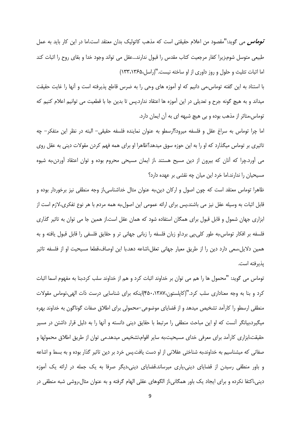**تو***ماس* **م**ی گوید:"مقصود من اعلام حقیقتی است که مذهب کاتولیک بدان معتقد است.اما در این کار باید به عمل طبیعی متوسل شوم،زیرا کفار مرجعیت کتاب مقدس را قبول ندارند…عقل می تواند وجود خدا و بقای روح را اثبات کند اما اثبات تثلیث و حلول و روز داوری از او ساخته نیست."(راسل،١٣۶۵،٣٣٨)

با استناد به این گفته توماس،می دانیم که او آموزه های وحی را به ضرس قاطع پذیرفته است و آنها را غایت حقیقت میداند و به هیچ گونه جرح و تعدیلی در این آموزه ها اعتقاد ندارد.پس تا بدین جا با قطعیت می توانیم اعلام کنیم که توماس،متاثر از مذهب بوده و بی هیچ شبهه ای به آن ایمان دارد.

اما چرا توماس به سراغ عقل و فلسفه میرود؟ارسطو به عنوان نماینده فلسفه حقیقی– البته در نظر این متفکر– چه تاثیری بر توماس میگذارد که او را به این حوزه سوق میدهد؟ظاهرا او برای همه فهم کردن مقولات دینی به عقل روی می آورد.چرا که آنان که بیرون از دین مسیح هستند ،از ایمان مسیحی محروم بوده و توان اعتقاد آوردن،به شیوه مسیحیان را ندارند.اما خرد این میان چه نقشی بر عهده دارد؟

ظاهرا توماس معتقد است که چون اصول و ارکان دین،به عنوان مثال خداشناسی،از وجه منطقی نیز برخوردار بوده و قابل اثبات به وسیله عقل نیز می باشند،پس برای ارائه عمومی این اصول،به همه مردم با هر نوع تفکری،لازم است از ابزاری جهان شمول و قابل قبول برای همگان استفاده شود که همان عقل است.از همین جا می توان به تاثیر گذاری فلسفه بر افكار توماس،به طور كلي،پي برد.او زبان فلسفه را زباني جهاني تر و حقايق فلسفي را قابل قبول يافته و به همین دلایل،سعی دارد دین را از طریق معیار جهانی تعقل،اشاعه دهد.با این اوصاف،قطعا مسیحیت او از فلسفه تاثیر يذيرفته است.

توماس می گوید: "محمول ها را هم می توان بر خداوند اثبات کرد و هم از خداوند سلب کرد،بنا به مفهوم اسما اثبات کرد و بنا به وجه معناداری سلب کرد."(کاپلستون،۱۳۸۷،۴۵۰،۱۳۸۷)اینکه برای شناسایی درست ذات الهی،توماس مقولات منطقی ارسطو را کارامد تشخیص میدهد و از قضایای موضوعی–محمولی برای اطلاق صفات گوناگون به خداوند بهره میگیرد،بیانگر آنست که او این مباحث منطقی را مرتبط با حقایق دینی دانسته و آنها را به دلیل قرار داشتن در مسیر حقیقت،ابزاری کارامد برای معرفی خدای مسیحیت،به سایر اقوام،تشخیص میدهد.می توان از طریق اطلاق محمولها و صفاتی که میشناسیم به خداوند،به شناختی عقلانی از او دست یافت.پس خرد بر دین تاثیر گذار بوده و به بسط و اشاعه و باور منطقی رسیدن از قضایای دینی،پاری میرساند.قضایای دینی،دیگر صرفا به یک جمله در ارائه یک آموزه دینی،اکتفا نکرده و برای ایجاد یک باور همگانی،از الگوهای عقلی الهام گرفته و به عنوان مثال،روشی شبه منطقی در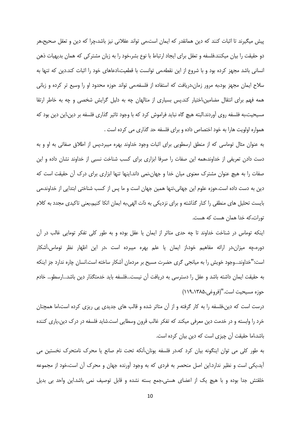پیش میگیرند تا اثبات کنند که دین همانقدر که ایمان است،می تواند عقلانی نیز باشد،چرا که دین و تعقل صحیح،هر دو حقیقت را بیان میکنند.فلسفه و تعقل برای ایجاد ارتباط با نوع بشر،خود را به زبان مشترکی که همان بدیهیات ذهن انسانی باشد مجهز کرده بود و با شروع از این نقطه،می توانست با قطعیت،ادعاهای خود را اثبات کند.دین که تنها به سلاح ایمان مجهز بود،به مرور زمان،دریافت که استفاده از فلسفه،می تواند حوزه محدود او را وسیع تر کرده و زبانی همه فهم برای انتقال مضامین،اختیار کند.پس بسیاری از متالهان چه به دلیل گرایش شخصی و چه به خاطر ارتقا مسیحیت،به فلسفه روی اّوردند.البته هیچ گاه نباید فراموش کرد که با وجود تاثیر گذاری فلسفه بر دین،این دین بود که همواره اولويت هارا به خود اختصاص داده و براي فلسفه حد گذاري مي كرده است .

به عنوان مثال توماسی که از منطق ارسطویی برای اثبات وجود خداوند بهره میبرد،پس از اطلاق صفاتی به او و به دست دادن تعریفی از خداوند،همه این صفات را صرفا ابزاری برای کسب شناخت نسبی از خداوند نشان داده و این صفات را به هیچ عنوان مشترک معنوی میان خدا و جهان،نمی داند.اینها تنها ابزاری برای درک آن حقیقت است که دین به دست داده است.حوزه علوم این جهانی،تنها همین جهان است و ما پس از کسب شناختی ابتدایی از خداوند،می بایست تحلیل های منطقی را کنار گذاشته و برای نزدیکی به ذات الهی،به ایمان اتکا کنیم،یعنی تاکیدی مجدد به کلام تورات، كه خدا همان هست كه هست.

اینکه توماس در شناخت خداوند تا چه حدی متاثر از ایمان یا عقل بوده و به طور کلی تفکر تومایی غالب در آن دوره،چه میزان،در ارائه مفاهیم خود،از ایمان یا علم بهره میبرده است ،در این اظهار نظر توماس،اشکار است:"خداوند...وجود خویش را به میانجی گری حضرت مسیح بر مردمان أشکار ساخته است.انسان چاره ندارد جز اینکه به حقیقت ایمان داشته باشد و عقل را دسترسی به دریافت آن نیست...فلسفه باید خدمتگذار دین باشد...ارسطو... خادم حوزه مسيحيت است."(فروغي،۱۳۸۵،۱۳۸۵)

درست است که دین،فلسفه را به کار گرفته و از آن متاثر شده و قالب های جدیدی پی ریزی کرده است،اما همچنان خرد را وابسته و در خدمت دین معرفی میکند که تفکر غالب قرون وسطایی است.شاید فلسفه در درک دین،یاری کننده باشد،اما حقیقت آن چیزی است که دین بیان کرده است.

به طور کلی می توان اینگونه بیان کرد که،در فلسفه یونان،آنکه تحت نام صانع یا محرک نامتحرک نخستین می أيد،يكي است و نظير ندارد.اين اصل منحصر به فردي كه به وجود أورنده جهان و محرك أن است،خود از مجموعه خلقتش جدا بوده و با هیچ یک از اعضای هستی،جمع بسته نشده و قابل توصیف نمی باشد.این واحد بی بدیل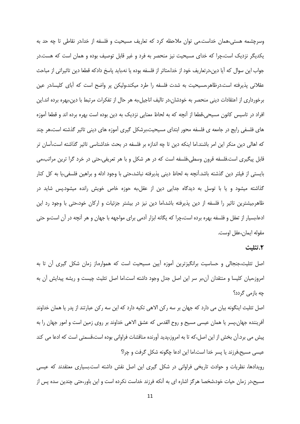وسرچشمه هستی،همان خداست.می توان ملاحظه کرد که تعاریف مسیحیت و فلسفه از خدا،در نقاطی تا چه حد به یکدیگر نزدیک است،چرا که خدای مسیحیت نیز منحصر به فرد و غیر قابل توصیف بوده و همان است که هست.در جواب این سوال که آیا دین،درتعاریف خود از خدا،متاثر از فلسفه بوده یا نه،باید پاسخ دادکه قطعا دین تاثیراتی از مباحث عقلانی پذیرفته است.درظاهر،مسیحیت به شدت فلسفه را طرد میکند،ولیکن پر واضح است که آبای کلیسا،در عین برخورداری از اعتقادات دینی منحصر به خودشان،در تالیف اناجیل،به هر حال از تفکرات مرتبط با دین،بهره برده اند.این افراد در تاسیس کانون مسیحی،قطعا از آنچه که به لحاظ معنایی نزدیک به دین بوده است بهره برده اند و قطعا آموزه های فلسفی رایج در جامعه ی فلسفه محور ابتدای مسیحیت،برشکل گیری آموزه های دینی تاثیر گذشته است،هر چند که اهالی دین منکر این امر باشند.اما اینکه دین تا چه اندازه بر فلسفه در بحث خداشناسی تاثیر گذاشته است،آسان تر قابل پیگیری است.فلسفه قرون وسطی،فلسفه است که در هر شکل و با هر تعریفی،حتی در خرد گرا ترین مراتب،می بایستی از فیلتر دین گذشته باشد.آنچه به لحاظ دینی پذیرفته نباشد،حتی با وجود ادله و براهین فلسفی،یا به کل کنار گذاشته میشود و یا با توسل به دیدگاه جدایی دین از عقل،به حوزه خاص خویش رانده میشود.پس شاید در ظاهر،بیشترین تاثیر را فلسفه از دین پذیرفته باشد،اما دین نیز در بیشتر جزئیات و ارکان خود،حتی با وجود رد این ادعا،بسیار از تعقل و فلسفه بهره برده است،چرا که یگانه ابزار آدمی برای مواجهه با جهان و هر آنچه در آن است،و حتی مقوله ايمان،عقل اوست.

### ٢.تثليث

اصل تثلیث،جنجالی و حساسیت برانگیزترین آموزه آیین مسیحیت است که همواره،از زمان شکل گیری آن تا به امروز،میان کلیسا و منتقدان آن،بر سر این اصل جدل وجود داشته است.اما اصل تثلیث چیست و ریشه پیدایش آن به چه بازمی گردد؟

اصل تثلیث اینگونه بیان می دارد که جهان بر سه رکن الاهی تکیه دارد که این سه رکن عبارتند از پدر یا همان خداوند آفریننده جهان،پسر یا همان عیسی مسیح و روح القدس که عشق الاهی خداوند بر روی زمین است و امور جهان را به پیش می برد.اُن بخش از این اصل،که تا به امروز،پدید آورنده مناقشات فراوانی بوده است،قسمتی است که ادعا می کند عیسی مسیح،فرزند یا پسر خدا است.اما این ادعا چگونه شکل گرفت و چرا؟

رویدادها، نظریات و حوادث تاریخی فراوانی در شکل گیری این اصل نقش داشته است.بسیاری معتقدند که عیسی مسیح،در زمان حیات خود،شخصا هرگز اشاره ای به آنکه فرزند خداست نکرده است و این باور،حتی چندین سده پس از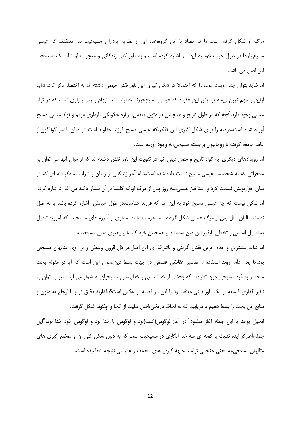مرگ او شکل گرفته است.اما در تضاد با این گروه،عده ای از نظریه پردازان مسیحیت نیز معتقدند که عیسی مسیح،بارها در طول حیات خود به این امر اشاره کرده است و به طور کلی زندگانی و معجزات او،اثبات کننده صحت این اصل می باشد.

اما شاید بتوان چند رویداد عمده را که احتمالا در شکل گیری این باور نقش مهمی داشته اند به اختصار ذکر کرد: شاید اولین و مهم ترین ریشه پیدایش این عقیده که عیسی مسیح،فرزند خداوند است،ابهام و رمز و رازی است که در تولد عیسی وجود دارد.آنچه که در طول تاریخ و همچنین در متون مقدس،درباره چگونگی بارداری مریم و تولد عیسی مسیح آورده شده است،عرصه را برای شکل گیری این تفکر،که عیسی مسیح فرزند خداوند است در میان اقشار گوناگون،از عامه جامعه گرفته تا روحانیون برجسته مسیحی،به وجود آورده است.

اما رویدادهای دیگری–به گواه تاریخ و متون دینی–نیز در تقویت این باور نقش داشته اند که از میان آنها می توان به معجزاتی که به شخصیت عیسی مسیح نسبت داده شده است،شام آخر زندگانی او و نان و شراب نمادگرایانه ای که در میان حواریونش قسمت کرد و رستاخیز عیسی،سه روز پس از مرگ او،که کلیسا بر آن بسیار تاکید می گذارد اشاره کرد. اما شکی نیست که چه عیسی مسیح خود به این امر که فرزند خداست،در طول حیاتش اشاره کرده باشد یا نه،اصل تثلیث سالیان سال پس از مرگ عیسی شکل گرفته است،درست مانند بسیاری از آموزه های مسیحیت که امروزه تبدیل به اصول اساسی و تخطی ناپذیر این دین شده اند و همچنین خود کلیسا و رهبری دینی مسیحیت.

اما شاید بیشترین و جدی ترین نقش آفرینی و تاثیرگذاری این اصل،در دل قرون وسطی و بر روی متالهان مسیحی بود.حال،در ادامه روند استفاده از تفاسیر عقلانی–فلسفی در جهت بسط دین،سوال این است که آیا در مقوله بحث منحصر به فرد مسیحی چون تثلیث– که بخشی از خداشناسی و خداپرستی مسیحیان به شمار می آید– نیزمی توان به تاثیر گذاری فلسفه بر یک باور دینی معتقد بود یا این بار قضیه بر عکس است؟بگذارید دقیق تر و با ارجاع به متون و منابع،این بحث را بسط دهیم تا دریابیم که به لحاظ تاریخی،اصل تثلیث از کجا و چگونه شکل گرفت.

انجیل یوحنا با این جمله آغاز میشود:"در آغاز لوگوس(کلمه)بود و لوگوس با خدا بود و لوگوس خود خدا بود."این جمله،آغازگر ایده تثلیث یا گونه ای سه خدا انگاری در مسیحیت است که به دلیل شکل کلی آن و موضع گیری های متالهان مسیحی،به بحثی جنجالی توام با جبهه گیری های مختلف و غالبا بی نتیجه انجامیده است.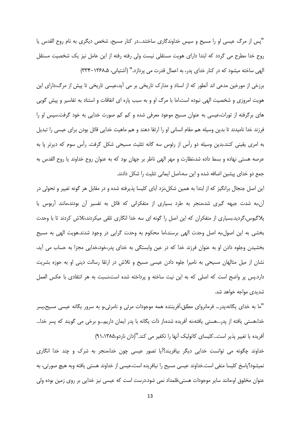"پس از مرگ عیسی او را مسیح و سپس خداوندگاری ساختند…در کنار مسیح، شخص دیگری به نام روح القدس یا روح خدا مطرح می گردد که ابتدا دارای هویت مستقلی نیست ولی رفته رفته از این عامل نیز یک شخصیت مستقل الهی ساخته میشود که در کنار خدای پدر، به اعمال قدرت می پردازد." (آشتیانی، ۱۳۶۸–۳۳۴) برزخی از مورخین مدعی اند انطور که از اسناد و مدارک تاریخی بر می اید،عیسی تاریخی تا پیش از مرگ،دارای این هویت امروزی و شخصیت الهی نبوده است.اما با مرگ او و به سبب پاره ای اتفاقات و استناد به تفاسیر و پیش گویی

های برگرفته از تورات،عیسی به عنوان مسیح موعود معرفی شده و کم کم صورت خدایی به خود گرفت.سپس او را فرزند خدا نامیدند تا بدین وسیله هم مقام انسانی او را ارتقا دهند و هم ماهیت خدایی قائل بودن برای عیسی را تبدیل به امری یقینی کنند.بدین وسیله دو راس از رئوس سه گانه تثلیث مسیحی شکل گرفت. رأس سوم که دیرتر پا به عرصه هستی نهاده و بسط داده شد،نظارت و مهر الهی ناظر بر جهان بود که به عنوان روح خداوند یا روح القدس به جمع دو خدای پیشین اضافه شده و این سه،اصل ایمانی تثلیث را شکل دادند.

این اصل جنجال برانگیز که از ابتدا به همین شکل،نزد آبای کلیسا پذیرفته شده و در مقابل هر گونه تغییر و تحولی در أن،به شدت جبهه گیری شد،منجر به طرد بسیاری از متفکرانی که قائل به تفسیر أن بودند،مانند أریوس یا پلاگیوس،گردید.بسیاری از متفکران که این اصل را گونه ای سه خدا انگاری تلقی میکردند،تلاش کردند تا با وحدت بخشی به این اصول،به اصل وحدت الهی برسند،اما محکوم به وحدت گرایی در وجود شدند.هویت الهی به مسیح بخشیدن وجلوه دادن او به عنوان فرزند خدا که در عین وابستگی به خدای پدر،خود،خدایی مجزا به حساب می أید، نشان از میل متالهان مسیحی به نامیرا جلوه دادن عیسی مسیح و تلاش در ارتقا رسالت دینی او به حوزه بشریت دارد.پس پر واضح است که اصلی که به این نیت ساخته و پرداخته شده است،نسبت به هر انتقادی با عکس العمل شدید*ی* مواجه خواهد شد.

"ما به خدای یگانه،پدر… فرمانروای مطلق،آفریننده همه موجودات مرئی و نامرئی،و به سرور یگانه عیسی مسیح،پسر خدا،هستی یافته از پدر…هستی یافته،نه آفریده شده،از ذات یگانه با پدر ایمان داریم…و برخی می گویند که پسر خدا… افریده یا تغییر پذیر است...کلیسای کاتولیک آنها را تکفیر می کند."(دان ناردو،۹۱،۱۳۸۵)

خداوند چگونه می توانست خدایی دیگر بیافریند؟اًیا تصور عیسی چون خدا،منجر به شرک و چند خدا انگاری نمیشود؟پاسخ کلیسا منفی است.خداوند عیسی مسیح را نیافریده است،عیسی از خداوند هستی یافته وبه هیچ صورتی، به عنوان مخلوق او،مانند سایر موجودات هستی،قلمداد نمی شود.درست است که عیسی نیز خدایی بر روی زمین بوده ولی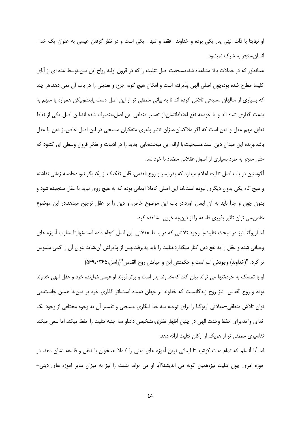او نهايتا با ذات الهي پدر يكي بوده و خداوند– فقط و تنها– يكي است و در نظر گرفتن عيسى به عنوان يک خدا– انسان،منجر به شرک نمیشود.

همانطور که در جملات بالا مشاهده شد،مسیحیت اصل تثلیث را که در قرون اولیه رواج این دین،توسط عده ای از آبای کلیسا مطرح شده بود،چون اصلی الهی پذیرفته است و امکان هیچ گونه جرح و تعدیلی را در باب آن نمی دهد.هر چند که بسیاری از متالهان مسیحی تلاش کرده اند تا به بیانی منطقی تر از این اصل دست یابند،ولیکن همواره یا متهم به بدعت گذاری شده اند و یا خود،به نفع اعتقاداتشان،از تفسیر منطقی این اصل،منصرف شده اند.این اصل یکی از نقاط تقابل مهم عقل و دین است که اگر ملاکمان،میزان تاثیر پذیری متفکران مسیحی در این اصل خاص،از دین یا عقل باشد،برنده این میدان دین است.مسیحیت،با ارائه این مبحث،بابی جدید را در ادبیات و تفکر قرون وسطی ای گشود که حتی منجر به طرد بسیاری از اصول عقلانی متضاد با خود شد.

اًگوستین در باب اصل تثلیث اعلام میدارد که پدر،پسر و روح القدس، قابل تفکیک از یکدیگر نبوده،فاصله زمانی نداشته و هیچ گاه یکی بدون دیگری نبوده است.اما این اصلی کاملا ایمانی بوده که به هیچ روی نباید با عقل سنجیده شود و بدون چون و چرا باید به آن ایمان آورد.در باب این موضوع خاص،او دین را بر عقل ترجیح میدهد.در این موضوع خاص،می توان تاثیر پذیری فلسفه را از دین،به خوبی مشاهده کرد.

اما اریوگنا نیز در مبحث تثلیث،با وجود تلاشی که در بسط عقلانی این اصل انجام داده است،نهایتا مغلوب آموزه های وحیانی شده و عقل را به نفع دین کنار میگذارد.تثلیث را باید پذیرفت.پس از پذیرفتن آن،شاید بتوان آن را کمی ملموس تر كرد. "(خداوند) وجودش اب است و حكمتش ابن و حياتش روح القدس "(راسل،۶۹،۱۳۶۵)

او با تمسک به خرد،تنها می تواند بیان کند که،خداوند پدر است و برتر.فرزند او،عیسی،نماینده خرد و عقل الهی خداوند بوده و روح القدس نیز روح زندگانیست که خداوند بر جهان دمیده است.اثر گذاری خرد بر دین،تا همین جاست.می توان تلاش منطقی–عقلانی اریوگنا را برای توجیه سه خدا انگاری مسیحی و تفسیر آن به وجوه مختلفی از وجود یک خدای واحد،برای حفظ وحدت الهی در چنین اظهار نظری،تشخیص داد.او سه جنبه تثلیث را حفظ میکند اما سعی میکند تفاسیری منطقی تر از هریک از ارکان تثلیث ارائه دهد.

اما آیا آنسلم که تمام مدت کوشید تا ایمانی ترین آموزه های دینی را کاملا همخوان با تعقل و فلسفه نشان دهد، در حوزه امری چون تثلیث نیز،همین گونه می اندیشد؟اًیا او می تواند تثلیث را نیز به میزان سایر اَموزه های دینی–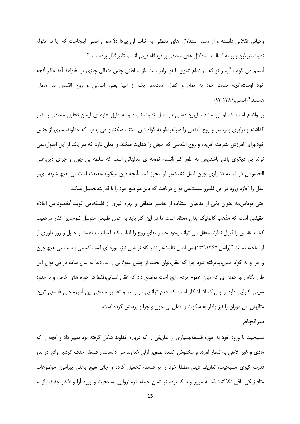وحیانی،عقلانی دانسته و از مسیر استدلال های منطقی به اثبات أن بپردازد؟ سوال اصلی اینجاست که آیا در مقوله تثلیث نیز،این باور به اصالت استدلال های منطقی،بر دیدگاه دینی آنسلم تاثیر گذار بوده است؟

آنسلم می گوید: "پسر تو که در تمام شئون با تو برابر است...از بساطتی چنین متعالی چیزی بر نخواهد آمد مگر آنچه خود اوست،آنچه تثلیث خود به تمام و کمال است،هر یک از آنها یعنی اب،ابن و روح القدس نیز همان هستند."(أنسلم،١٣٨۶،٩٣)

پر واضح است که او نیز مانند سایرین،دستی در اصل تثلیث نبرده و به دلیل غلبه ی ایمان،تحلیل منطقی را کنار گذاشته و برابری پدر،پسر و روح القدس را میپذیرد.او به گواه دین استناد میکند و می پذیرد که خداوند،پسری از جنس خود،برای آمرزش بشریت آفریده و روح القدسی که جهان را هدایت میکند.او ایمان دارد که هر یک از این اصول،نمی تواند بی دیگری باقی باشد.پس به طور کلی،آنسلم نمونه ی متالهانی است که سلطه بی چون و چرای دین،علی الخصوص در قضیه دشواری چون اصل تثلیث،بر او محرز است.اَنچه دین میگوید،حقیقت است بی هیچ شبهه ای،و عقل را اجازه ورود در این قلمرو نیست.می توان دریافت که دین،مواضع خود را با قدرت،تحمیل میکند.

حتی توماس،به عنوان یکی از مدعیان استفاده از تفاسیر منطقی و بهره گیری از فلسفه،می گوید:"مقصود من اعلام حقیقتی است که مذهب کاتولیک بدان معتقد است.اما در این کار باید به عمل طبیعی متوسل شوم،زیرا کفار مرجعیت کتاب مقدس را قبول ندارند...عقل می تواند وجود خدا و بقای روح را اثبات کند اما اثبات تثلیث و حلول و روز داوری از او ساخته نیست."(راسل،۱۳۶۵،۱۳۳)پس اصل تثلیث،در نظر گاه توماس نیز،آموزه ای است که می بایست بی هیچ چون و چرا و به گواه ایمان،پذیرفته شود چرا که عقل،توان بحث از چنین مقولاتی را ندارد.یا به بیان ساده تر می توان این طرز نگاه را،با جمله ای که میان عموم مردم رایج است توضیح داد که عقل انسانی،فقط در حوزه های خاص و تا حدود معینی کاراًیی دارد و بس.کاملا اًشکار است که عدم توانایی در بسط و تفسیر منطقی این اًموزه،حتی فلسفی ترین متالهان این دوران را نیز وادار به سکوت و ایمان بی چون و چرا و پرسش کرده است.

### سرانجام

مسیحیت با ورود خود به حوزه فلسفه،بسیاری از تعاریفی را که درباره خداوند شکل گرفته بود تغییر داد و آنچه را که مادی و غیر الاهی به شمار آورده و مخدوش کننده تصویر ازلی خداوند می دانست،از فلسفه حذف کرد.به واقع در بدو قدرت گیری مسیحیت، تعاریف دینی،مطلقا خود را بر فلسفه تحمیل کرده و جای هیچ بحثی پیرامون موضوعات متافیزیکی باقی نگذاشت.اما به مرور و با گسترده تر شدن حیطه فرمانروایی مسیحیت و ورود آرا و افکار جدید،نیاز به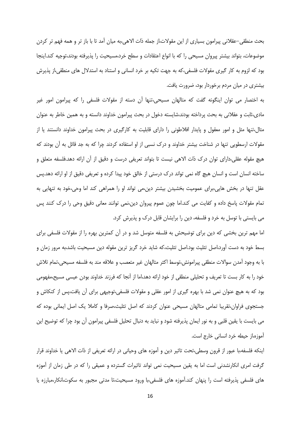بحث منطقی–عقلانی پیرامون بسیاری از این مقولات،از جمله ذات الاهی،به میان أمد تا با باز تر و همه فهم تر کردن موضوعات، بتواند بیشتر پیروان مسیحی را که با انواع اعتقادات و سطح خرد،مسیحیت را پذیرفته بودند،توجیه کند.اینجا بود که لزوم به کار گیری مقولات فلسفی،که به جهت تکیه بر خرد انسانی و استناد به استدلال های منطقی،از پذیرش بیشتری در میان مردم برخوردار بود، ضرورت یافت.

به اختصار می توان اینگونه گفت که متالهان مسیحی،تنها آن دسته از مقولات فلسفی را که پیرامون امور غیر مادی،ثابت و عقلانی به بحث پرداخته بودند،شایسته دخول در بحث پیرامون خداوند دانسته و به همین خاطر به عنوان مثال،تنها مثل و امور معقول و پایدار افلاطونی را دارای قابلیت به کارگیری در بحث پیرامون خداوند دانستند یا از مقولات ارسطویی تنها در شناخت بیشتر خداوند و درک نسبی از او استفاده کردند چرا که به جد قائل به آن بودند که هیچ مقوله عقلی،دارای توان درک ذات الاهی نیست تا بتواند تعریفی درست و دقیق از آن ارائه دهد.فلسفه متعلق و ساخته انسان است و انسان هیچ گاه نمی تواند درک درستی از خالق خود پیدا کرده و تعریفی دقیق از او ارائه دهد.پس عقل تنها در بخش هایی،برای عمومیت بخشیدن بیشتر دین،می تواند او را همراهی کند اما وحی،خود به تنهایی به تمام مقولات پاسخ داده و کفایت می کند.اما چون عموم پیروان دین،نمی توانند معانی دقیق وحی را درک کنند پس می بایستی با توسل به خرد و فلسفه، دین را برایشان قابل درک و پذیرش کرد.

اما مهم ترین بخشی که دین برای توضیحش به فلسفه متوسل شد و در آن کمترین بهره را از مقولات فلسفی برای بسط خود به دست آورد،اصل تثلیث بود.اصل تثلیث،که شاید خرد گریز ترین مقوله دین مسیحیت باشد،به مرور زمان و با به وجود أمدن سوالات منطقي پيرامونش،توسط اكثر متالهان غير متعصب و علاقه مند به فلسفه مسيحي،تمام تلاش خود را به کار بست تا تعریف و تحلیلی منطقی از خود ارائه دهد،اما از آنجا که فرزند خداوند بودن عیسی مسیح،مفهومی بود که به هیچ عنوان نمی شد با بهره گیری از امور عقلی و مقولات فلسفی،توجیهی برای آن یافت،پس از کنکاش و جستجوی فراوان،تقریبا تمامی متالهان مسیحی عنوان کردند که اصل تثلیث،صرفا و کاملا یک اصل ایمانی بوده که می بایست با یقین قلبی و به نور ایمان پذیرفته شود و نباید به دنبال تحلیل فلسفی پیرامون آن بود چرا که توضیح این آموزه،از حیطه خرد انسانی خارج است.

اینکه فلسفه،با عبور از قرون وسطی،تحت تاثیر دین و آموزه های وحیانی در ارائه تعریفی از ذات الاهی یا خداوند قرار گرفت امری انکارنشدنی است اما به یقین مسیحیت نمی تواند تاثیرات گسترده و عمیقی را که در طی زمان از آموزه های فلسفی پذیرفته است را پنهان کند.آموزه های فلسفی،با ورود مسیحیت،تا مدتی مجبور به سکوت،انکار،مبارزه یا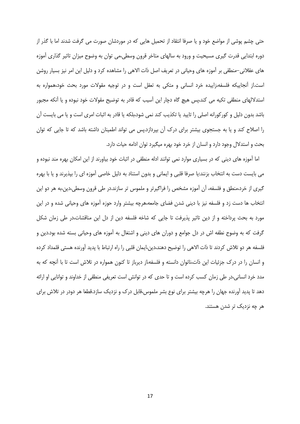حتی چشم پوشی از مواضع خود و یا صرفا انتقاد از تحمیل هایی که در موردشان صورت می گرفت شدند اما با گذر از دوره ابتدایی قدرت گیری مسیحیت و ورود به سالهای متاخر قرون وسطی،می توان به وضوح میزان تاثیر گذاری آموزه های عقلانی–منطقی بر آموزه های وحیانی در تعریف اصل ذات الاهی را مشاهده کرد و دلیل این امر نیز بسیار روشن است.از آنجاییکه فلسفه،زاییده خرد انسانی و متکی به تعقل است و در توجیه مقولات مورد بحث خود،همواره به استدلالهای منطقی تکیه می کند،پس هیچ گاه دچار این آسیب که قادر به توضیح مقولات خود نبوده و یا آنکه مجبور باشد بدون دلیل و کورکورانه اصلی را تایید یا تکذیب کند نمی شود،بلکه یا قادر به اثبات امری است و یا می بایست آن را اصلاح کند و یا به جستجوی بیشتر برای درک آن بپردازد.پس می تواند اطمینان داشته باشد که تا جایی که توان بحث و استدلال وجود دارد و انسان از خرد خود بهره میگیرد توان ادامه حیات دارد.

اما آموزه های دینی که در بسیاری موارد نمی توانند ادله منطقی در اثبات خود بیاورند از این امکان بهره مند نبوده و می بایست دست به انتخاب بزنند:یا صرفا قلبی و ایمانی و بدون استناد به دلیل خاصی آموزه ای را بپذیرند و یا با بهره گیری از خرد،منطق و فلسفه، آن آموزه مشخص را فراگیرتر و ملموس تر سازند.در طی قرون وسطی،دین،به هر دو این انتخاب ها دست زد و فلسفه نیز با دینی شدن فضای جامعه،هرچه بیشتر وارد حوزه آموزه های وحیانی شده و در این مورد به بحث پرداخته و از دین تاثیر پذیرفت تا جایی که شاخه فلسفه دین از دل این مناقشات،در طی زمان شکل گرفت که به وضوح نطفه اش در دل جوامع و دوران های دینی و اشتغال به آموزه های وحیانی بسته شده بود.دین و فلسفه هر دو تلاش كردند تا ذات الاهي را توضيح دهند،دين،ايمان قلبي را راه ارتباط با پديد أورنده هستي قلمداد كرده و انسان را در درک جزئیات این ذات،ناتوان دانسته و فلسفه،از دیرباز تا کنون همواره در تلاش است تا با آنچه که به مدد خرد انسانی،در طی زمان کسب کرده است و تا حدی که در توانش است تعریفی منطقی از خداوند و توانایی او ارائه دهد تا پدید آورنده جهان را هرچه بیشتر برای نوع بشر ملموس،قابل درک و نزدیک سازد.قطعا هر دودر در تلاش برای هر چه نزدیک تر شدن هستند.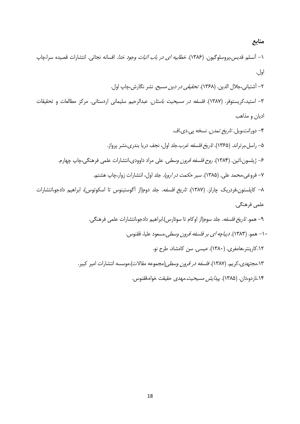منابع